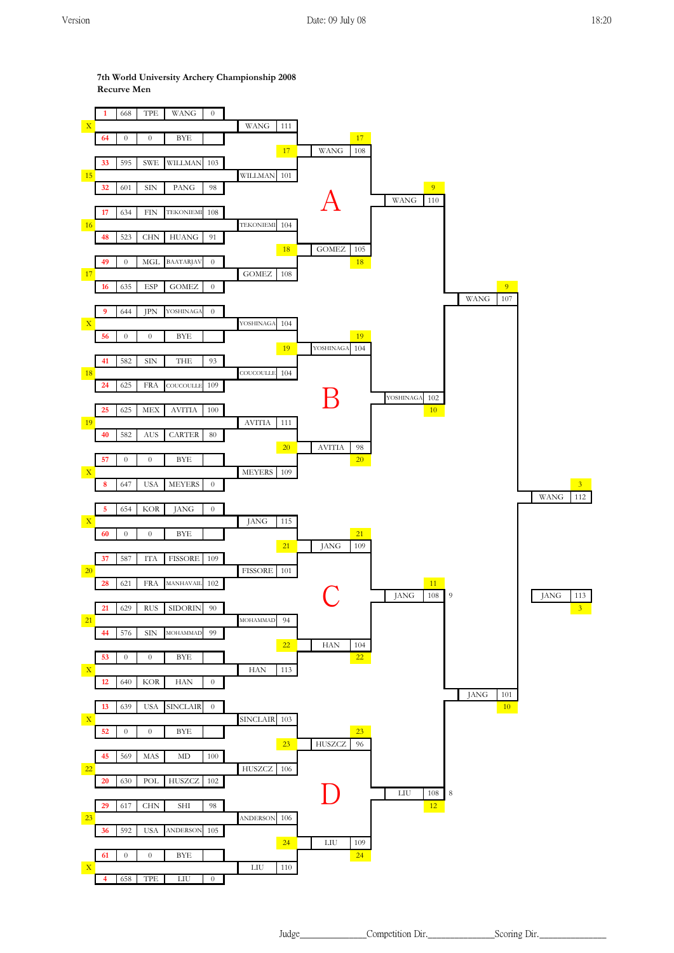**1** 668 TPE WANG 0  $X$  WANG 111 **64** 0 0 BYE 17 TPE 17 TPE 17 TPE 17 TPE 17 TPE 17 TPE 17 TPE 17 TPE 17 TPE 17 TPE 17 TPE 17 TPE 17 TPE 17 TPE 17 TPE 17 TPE 17 TPE 17 TPE 17 TPE 17 TPE 17 TPE 17 TPE 17 TPE 17 TPE 17 TPE 17 TPE 17 TPE 17 TPE 17 TPE 17 TPE 17 WANG 108 **33** 595 SWE WILLMAN 103 15 WILLMAN 101 **32** 601 SIN PANG 98 9 WANG 110 **17** 634 FIN TEKONIEMI 108 16 TEKONIEMI 104 **48** 523 CHN HUANG 91 18 GOMEZ 105 **49** 0 MGL BAATARJAV 0 18 17 **GOMEZ** 108 **16** 635 ESP GOMEZ 0 9 WANG 107 **9** 644 JPN YOSHINAGA 0 X YOSHINAGA 104 **56** 0 0 BYE 19 19 YOSHINAGA 104 **41** 582 SIN THE 93 18 COUCOULLE 104 **24** 625 FRA COUCOULLE 109 YOSHINAGA 102 **25** 625 MEX AVITIA 100 **10** 19 AVITIA 111 **40** 582 AUS CARTER 80 20 AVITIA 98 **57** 0 0 BYE 20 X MEYERS 109 **8** 647 USA MEYERS 0 3 WANG 112 **5** 654 KOR JANG 0 X JANG 115 **60** 0 0 BYE **21** 21 JANG 109 **37** 587 ITA FISSORE 109 **20** FISSORE 101 **28 EXAMPLAYAIL** 102 **11** JANG 108 9 JANG 113 **21** 629 RUS SIDORIN 90 3 21 MOHAMMAD 94 **44** 576 SIN MOHAMMAD 99 22 HAN 104 **53** 0 0 BYE 22 X HAN 113 **12** 640 KOR HAN 0 JANG 101 **13** 639 USA SINCLAIR 0 10 X SINCLAIR 103 **52** 0 0 BYE 23 **23** HUSZCZ 96 **45** 569 MAS MD 100 22 HUSZCZ 106 **20** 630 POL HUSZCZ 102 LIU 108 8 **29** 617 CHN SHI 98 **12 23** ANDERSON 106 **36** 592 USA ANDERSON 105 24 LIU 109 **61** 0 0 BYE 1 24  $\overline{\text{X}}$  LIU 110 **4** 658 TPE LIU 0 D  $\bm A$ B C

**7th World University Archery Championship 2008 Recurve Men**